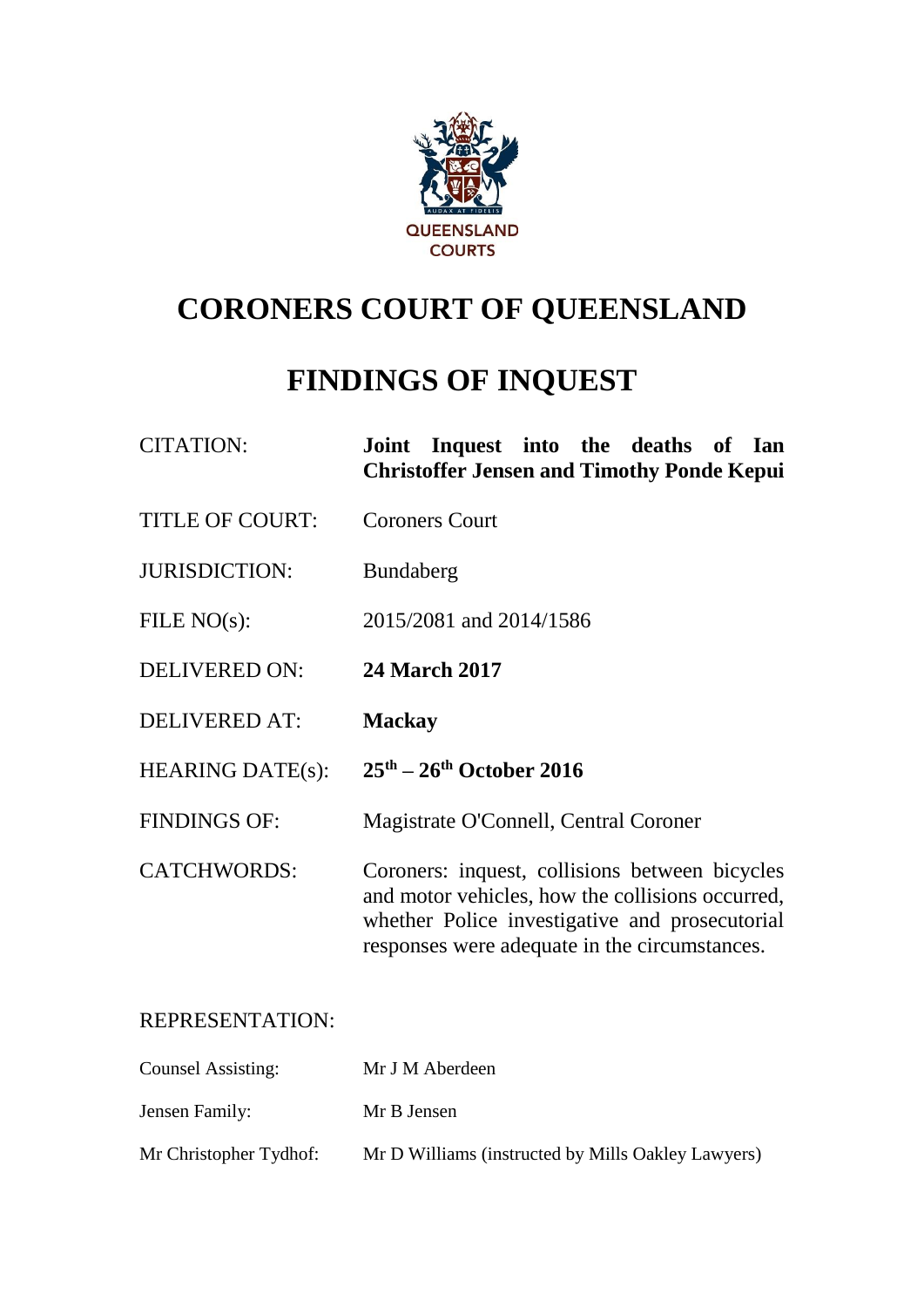

# **CORONERS COURT OF QUEENSLAND**

## **FINDINGS OF INQUEST**

| <b>CITATION:</b>        | Joint Inquest into the deaths of Ian<br><b>Christoffer Jensen and Timothy Ponde Kepui</b>                                                                                                             |
|-------------------------|-------------------------------------------------------------------------------------------------------------------------------------------------------------------------------------------------------|
| <b>TITLE OF COURT:</b>  | <b>Coroners Court</b>                                                                                                                                                                                 |
| <b>JURISDICTION:</b>    | <b>Bundaberg</b>                                                                                                                                                                                      |
| FILE $NO(s)$ :          | 2015/2081 and 2014/1586                                                                                                                                                                               |
| <b>DELIVERED ON:</b>    | <b>24 March 2017</b>                                                                                                                                                                                  |
| <b>DELIVERED AT:</b>    | <b>Mackay</b>                                                                                                                                                                                         |
| <b>HEARING DATE(s):</b> | $25th - 26th$ October 2016                                                                                                                                                                            |
| <b>FINDINGS OF:</b>     | Magistrate O'Connell, Central Coroner                                                                                                                                                                 |
| <b>CATCHWORDS:</b>      | Coroners: inquest, collisions between bicycles<br>and motor vehicles, how the collisions occurred,<br>whether Police investigative and prosecutorial<br>responses were adequate in the circumstances. |

## REPRESENTATION:

| <b>Counsel Assisting:</b> | Mr J M Aberdeen                                    |
|---------------------------|----------------------------------------------------|
| Jensen Family:            | Mr B Jensen                                        |
| Mr Christopher Tydhof:    | Mr D Williams (instructed by Mills Oakley Lawyers) |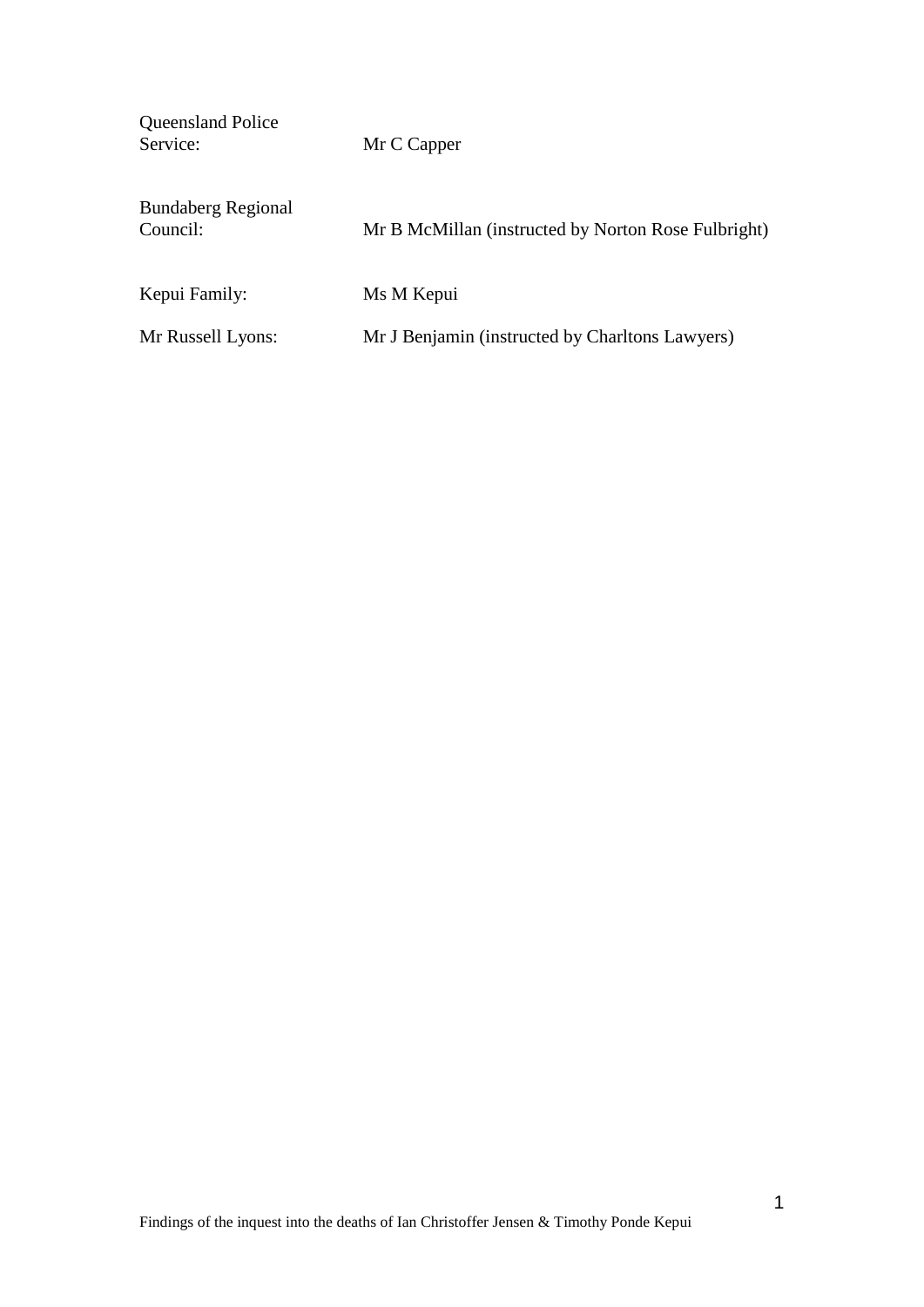Queensland Police<br>Service: Mr C Capper Bundaberg Regional Council: Mr B McMillan (instructed by Norton Rose Fulbright)

Kepui Family: Ms M Kepui

Mr Russell Lyons: Mr J Benjamin (instructed by Charltons Lawyers)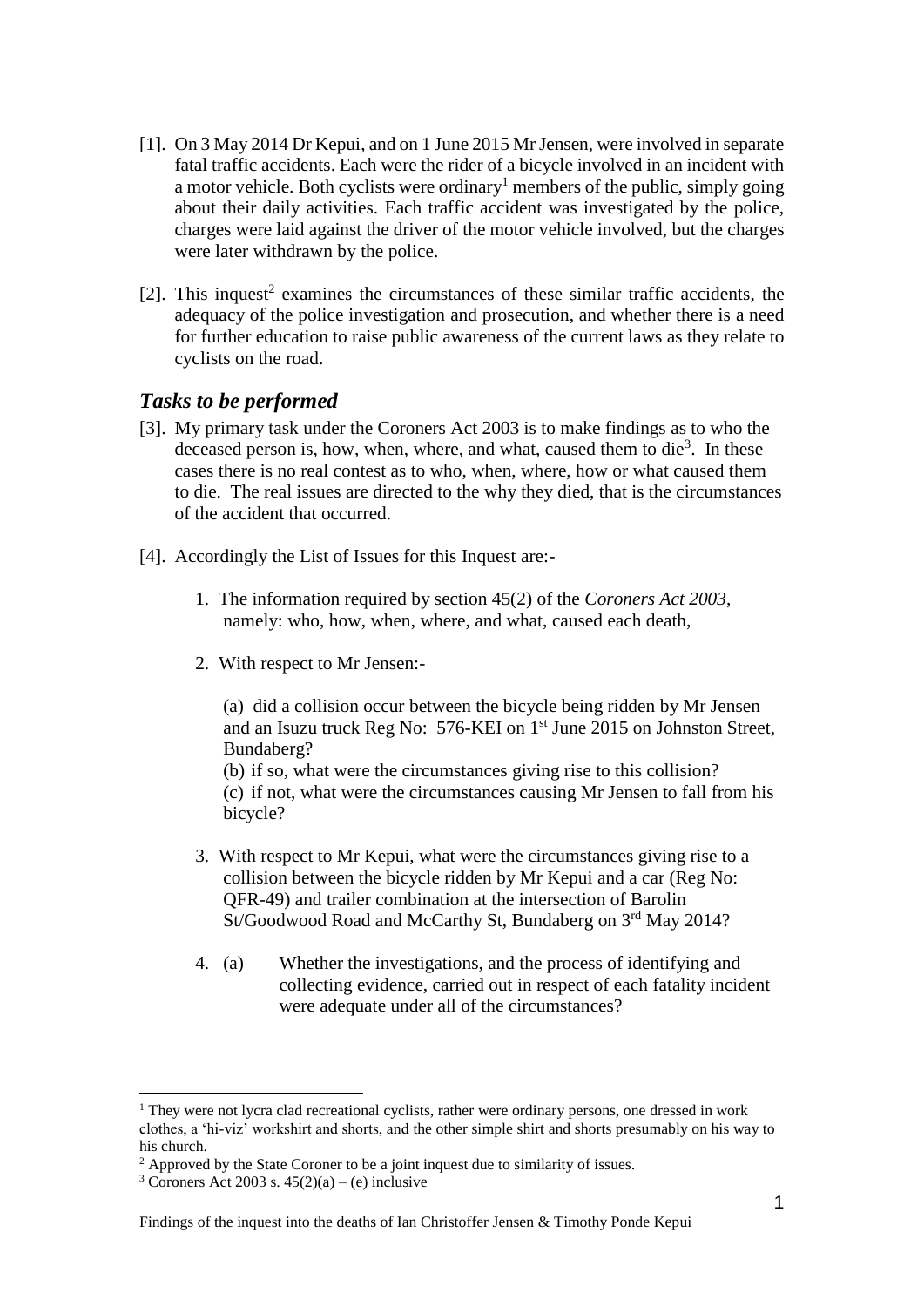- [1]. On 3 May 2014 Dr Kepui, and on 1 June 2015 Mr Jensen, were involved in separate fatal traffic accidents. Each were the rider of a bicycle involved in an incident with a motor vehicle. Both cyclists were ordinary<sup>1</sup> members of the public, simply going about their daily activities. Each traffic accident was investigated by the police, charges were laid against the driver of the motor vehicle involved, but the charges were later withdrawn by the police.
- $[2]$ . This inquest<sup>2</sup> examines the circumstances of these similar traffic accidents, the adequacy of the police investigation and prosecution, and whether there is a need for further education to raise public awareness of the current laws as they relate to cyclists on the road.

#### *Tasks to be performed*

- [3]. My primary task under the Coroners Act 2003 is to make findings as to who the deceased person is, how, when, where, and what, caused them to die<sup>3</sup>. In these cases there is no real contest as to who, when, where, how or what caused them to die. The real issues are directed to the why they died, that is the circumstances of the accident that occurred.
- [4]. Accordingly the List of Issues for this Inquest are:-
	- 1. The information required by section 45(2) of the *Coroners Act 2003*, namely: who, how, when, where, and what, caused each death,
	- 2. With respect to Mr Jensen:-

(a) did a collision occur between the bicycle being ridden by Mr Jensen and an Isuzu truck Reg No: 576-KEI on 1st June 2015 on Johnston Street, Bundaberg?

(b) if so, what were the circumstances giving rise to this collision? (c) if not, what were the circumstances causing Mr Jensen to fall from his bicycle?

- 3. With respect to Mr Kepui, what were the circumstances giving rise to a collision between the bicycle ridden by Mr Kepui and a car (Reg No: QFR-49) and trailer combination at the intersection of Barolin St/Goodwood Road and McCarthy St, Bundaberg on 3rd May 2014?
- 4. (a) Whether the investigations, and the process of identifying and collecting evidence, carried out in respect of each fatality incident were adequate under all of the circumstances?

 $<sup>1</sup>$  They were not lycra clad recreational cyclists, rather were ordinary persons, one dressed in work</sup> clothes, a 'hi-viz' workshirt and shorts, and the other simple shirt and shorts presumably on his way to his church.

 $2$  Approved by the State Coroner to be a joint inquest due to similarity of issues.

<sup>&</sup>lt;sup>3</sup> Coroners Act 2003 s.  $45(2)(a) - (e)$  inclusive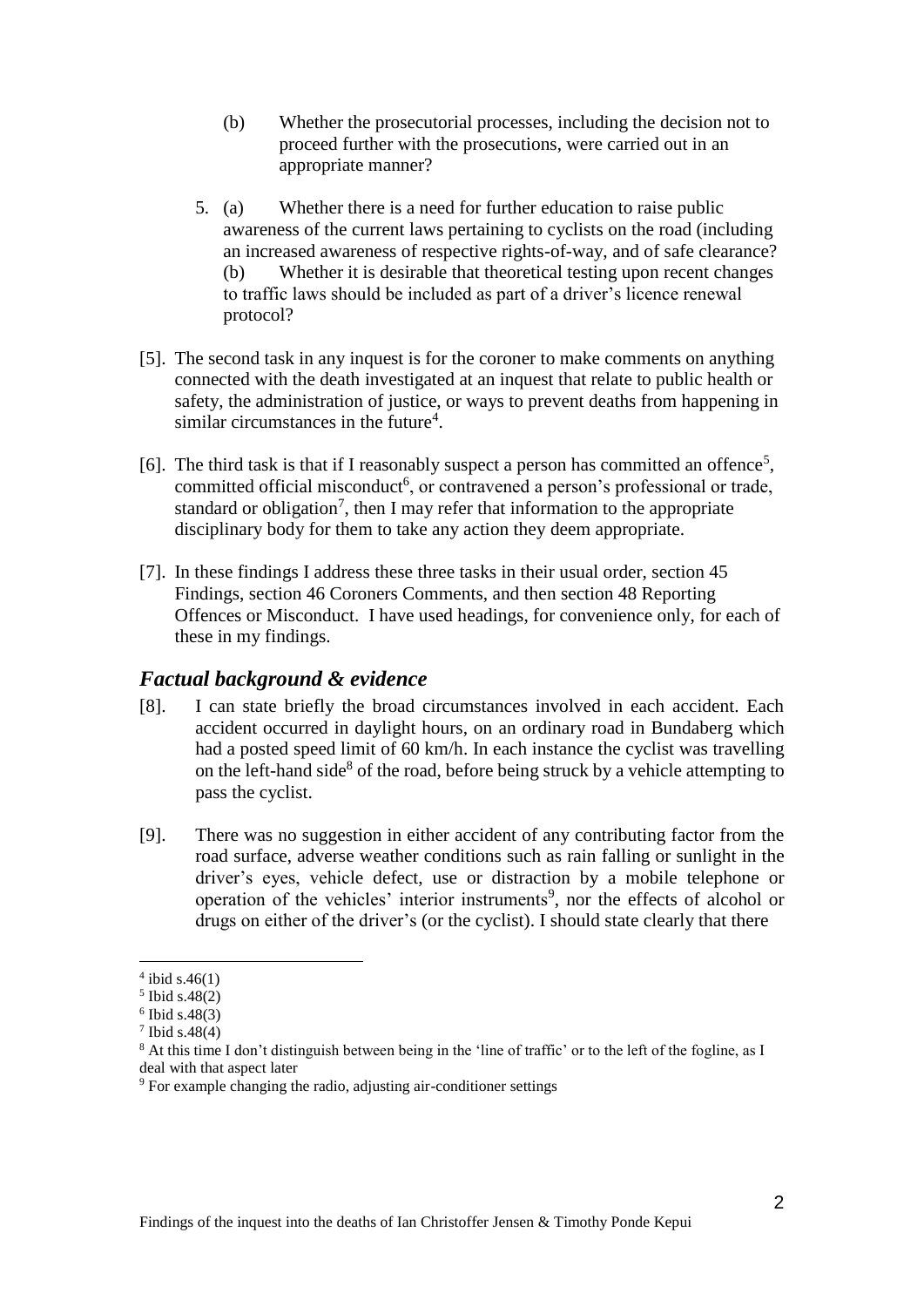- (b) Whether the prosecutorial processes, including the decision not to proceed further with the prosecutions, were carried out in an appropriate manner?
- 5. (a) Whether there is a need for further education to raise public awareness of the current laws pertaining to cyclists on the road (including an increased awareness of respective rights-of-way, and of safe clearance? (b) Whether it is desirable that theoretical testing upon recent changes to traffic laws should be included as part of a driver's licence renewal protocol?
- [5]. The second task in any inquest is for the coroner to make comments on anything connected with the death investigated at an inquest that relate to public health or safety, the administration of justice, or ways to prevent deaths from happening in similar circumstances in the future<sup>4</sup>.
- [6]. The third task is that if I reasonably suspect a person has committed an offence<sup>5</sup>, committed official misconduct<sup>6</sup>, or contravened a person's professional or trade, standard or obligation<sup>7</sup>, then I may refer that information to the appropriate disciplinary body for them to take any action they deem appropriate.
- [7]. In these findings I address these three tasks in their usual order, section 45 Findings, section 46 Coroners Comments, and then section 48 Reporting Offences or Misconduct. I have used headings, for convenience only, for each of these in my findings.

## *Factual background & evidence*

- [8]. I can state briefly the broad circumstances involved in each accident. Each accident occurred in daylight hours, on an ordinary road in Bundaberg which had a posted speed limit of 60 km/h. In each instance the cyclist was travelling on the left-hand side<sup>8</sup> of the road, before being struck by a vehicle attempting to pass the cyclist.
- [9]. There was no suggestion in either accident of any contributing factor from the road surface, adverse weather conditions such as rain falling or sunlight in the driver's eyes, vehicle defect, use or distraction by a mobile telephone or operation of the vehicles' interior instruments<sup>9</sup>, nor the effects of alcohol or drugs on either of the driver's (or the cyclist). I should state clearly that there

 $4$  ibid s.46(1)

<sup>5</sup> Ibid s.48(2)

<sup>6</sup> Ibid s.48(3)

<sup>7</sup> Ibid s.48(4)

<sup>&</sup>lt;sup>8</sup> At this time I don't distinguish between being in the 'line of traffic' or to the left of the fogline, as I deal with that aspect later

<sup>9</sup> For example changing the radio, adjusting air-conditioner settings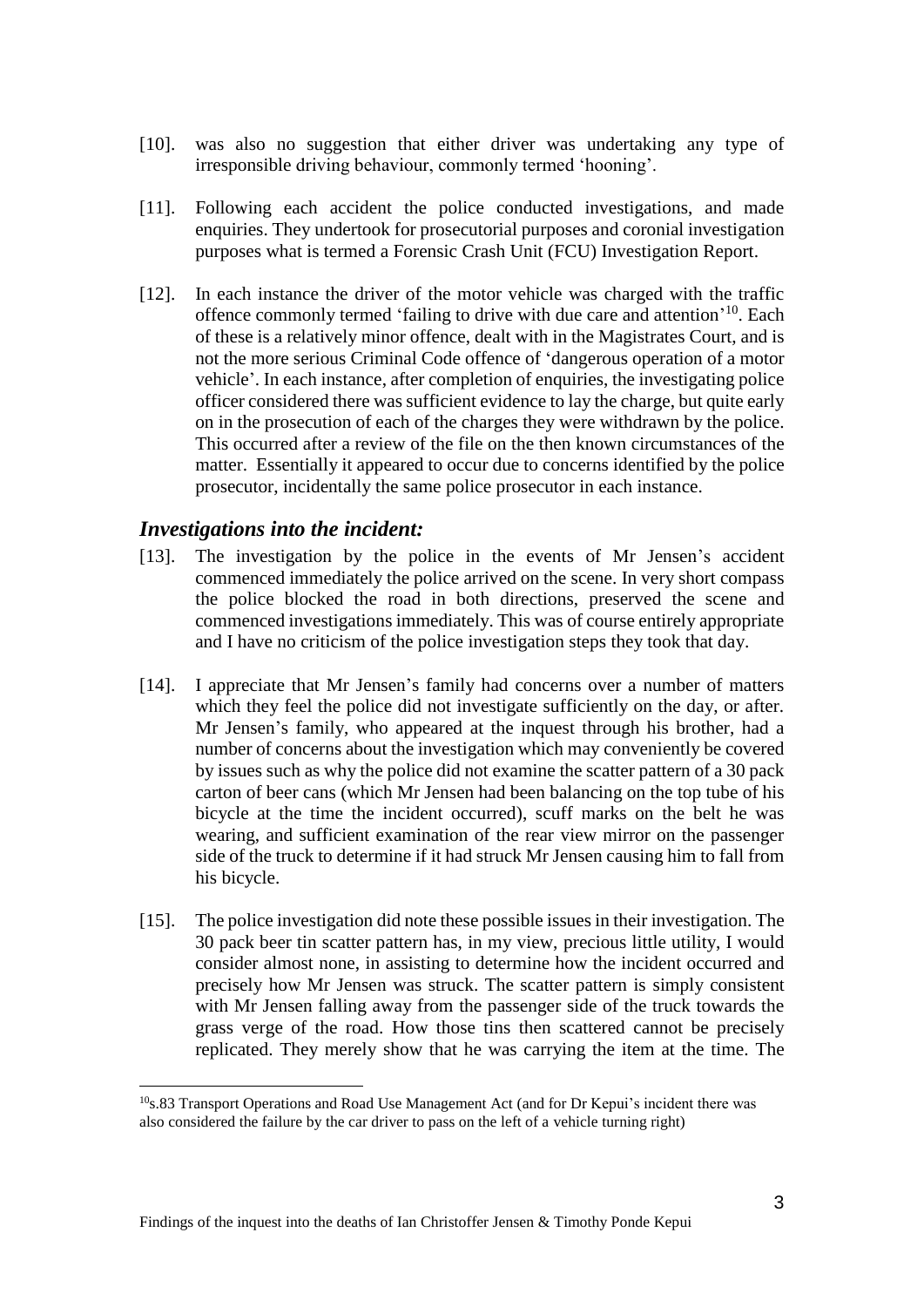- [10]. was also no suggestion that either driver was undertaking any type of irresponsible driving behaviour, commonly termed 'hooning'.
- [11]. Following each accident the police conducted investigations, and made enquiries. They undertook for prosecutorial purposes and coronial investigation purposes what is termed a Forensic Crash Unit (FCU) Investigation Report.
- [12]. In each instance the driver of the motor vehicle was charged with the traffic offence commonly termed 'failing to drive with due care and attention'<sup>10</sup>. Each of these is a relatively minor offence, dealt with in the Magistrates Court, and is not the more serious Criminal Code offence of 'dangerous operation of a motor vehicle'. In each instance, after completion of enquiries, the investigating police officer considered there was sufficient evidence to lay the charge, but quite early on in the prosecution of each of the charges they were withdrawn by the police. This occurred after a review of the file on the then known circumstances of the matter. Essentially it appeared to occur due to concerns identified by the police prosecutor, incidentally the same police prosecutor in each instance.

#### *Investigations into the incident:*

- [13]. The investigation by the police in the events of Mr Jensen's accident commenced immediately the police arrived on the scene. In very short compass the police blocked the road in both directions, preserved the scene and commenced investigations immediately. This was of course entirely appropriate and I have no criticism of the police investigation steps they took that day.
- [14]. I appreciate that Mr Jensen's family had concerns over a number of matters which they feel the police did not investigate sufficiently on the day, or after. Mr Jensen's family, who appeared at the inquest through his brother, had a number of concerns about the investigation which may conveniently be covered by issues such as why the police did not examine the scatter pattern of a 30 pack carton of beer cans (which Mr Jensen had been balancing on the top tube of his bicycle at the time the incident occurred), scuff marks on the belt he was wearing, and sufficient examination of the rear view mirror on the passenger side of the truck to determine if it had struck Mr Jensen causing him to fall from his bicycle.
- [15]. The police investigation did note these possible issues in their investigation. The 30 pack beer tin scatter pattern has, in my view, precious little utility, I would consider almost none, in assisting to determine how the incident occurred and precisely how Mr Jensen was struck. The scatter pattern is simply consistent with Mr Jensen falling away from the passenger side of the truck towards the grass verge of the road. How those tins then scattered cannot be precisely replicated. They merely show that he was carrying the item at the time. The

<sup>&</sup>lt;sup>10</sup>s.83 Transport Operations and Road Use Management Act (and for Dr Kepui's incident there was also considered the failure by the car driver to pass on the left of a vehicle turning right)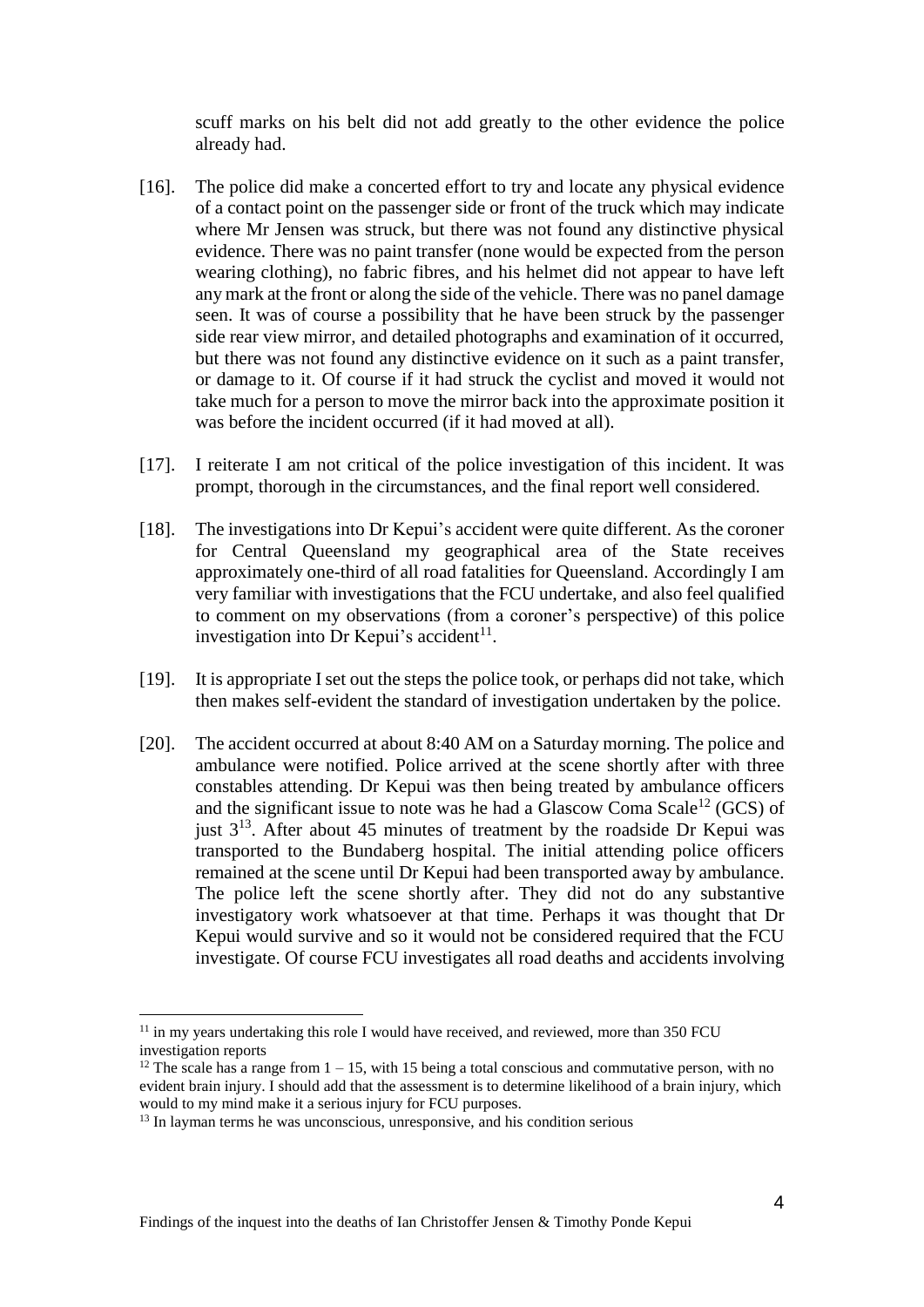scuff marks on his belt did not add greatly to the other evidence the police already had.

- [16]. The police did make a concerted effort to try and locate any physical evidence of a contact point on the passenger side or front of the truck which may indicate where Mr Jensen was struck, but there was not found any distinctive physical evidence. There was no paint transfer (none would be expected from the person wearing clothing), no fabric fibres, and his helmet did not appear to have left any mark at the front or along the side of the vehicle. There was no panel damage seen. It was of course a possibility that he have been struck by the passenger side rear view mirror, and detailed photographs and examination of it occurred, but there was not found any distinctive evidence on it such as a paint transfer, or damage to it. Of course if it had struck the cyclist and moved it would not take much for a person to move the mirror back into the approximate position it was before the incident occurred (if it had moved at all).
- [17]. I reiterate I am not critical of the police investigation of this incident. It was prompt, thorough in the circumstances, and the final report well considered.
- [18]. The investigations into Dr Kepui's accident were quite different. As the coroner for Central Queensland my geographical area of the State receives approximately one-third of all road fatalities for Queensland. Accordingly I am very familiar with investigations that the FCU undertake, and also feel qualified to comment on my observations (from a coroner's perspective) of this police investigation into Dr Kepui's accident<sup>11</sup>.
- [19]. It is appropriate I set out the steps the police took, or perhaps did not take, which then makes self-evident the standard of investigation undertaken by the police.
- [20]. The accident occurred at about 8:40 AM on a Saturday morning. The police and ambulance were notified. Police arrived at the scene shortly after with three constables attending. Dr Kepui was then being treated by ambulance officers and the significant issue to note was he had a Glascow Coma Scale<sup>12</sup> (GCS) of just  $3<sup>13</sup>$ . After about 45 minutes of treatment by the roadside Dr Kepui was transported to the Bundaberg hospital. The initial attending police officers remained at the scene until Dr Kepui had been transported away by ambulance. The police left the scene shortly after. They did not do any substantive investigatory work whatsoever at that time. Perhaps it was thought that Dr Kepui would survive and so it would not be considered required that the FCU investigate. Of course FCU investigates all road deaths and accidents involving

 $11$  in my years undertaking this role I would have received, and reviewed, more than 350 FCU investigation reports

<sup>&</sup>lt;sup>12</sup> The scale has a range from  $1 - 15$ , with 15 being a total conscious and commutative person, with no evident brain injury. I should add that the assessment is to determine likelihood of a brain injury, which would to my mind make it a serious injury for FCU purposes.

<sup>&</sup>lt;sup>13</sup> In layman terms he was unconscious, unresponsive, and his condition serious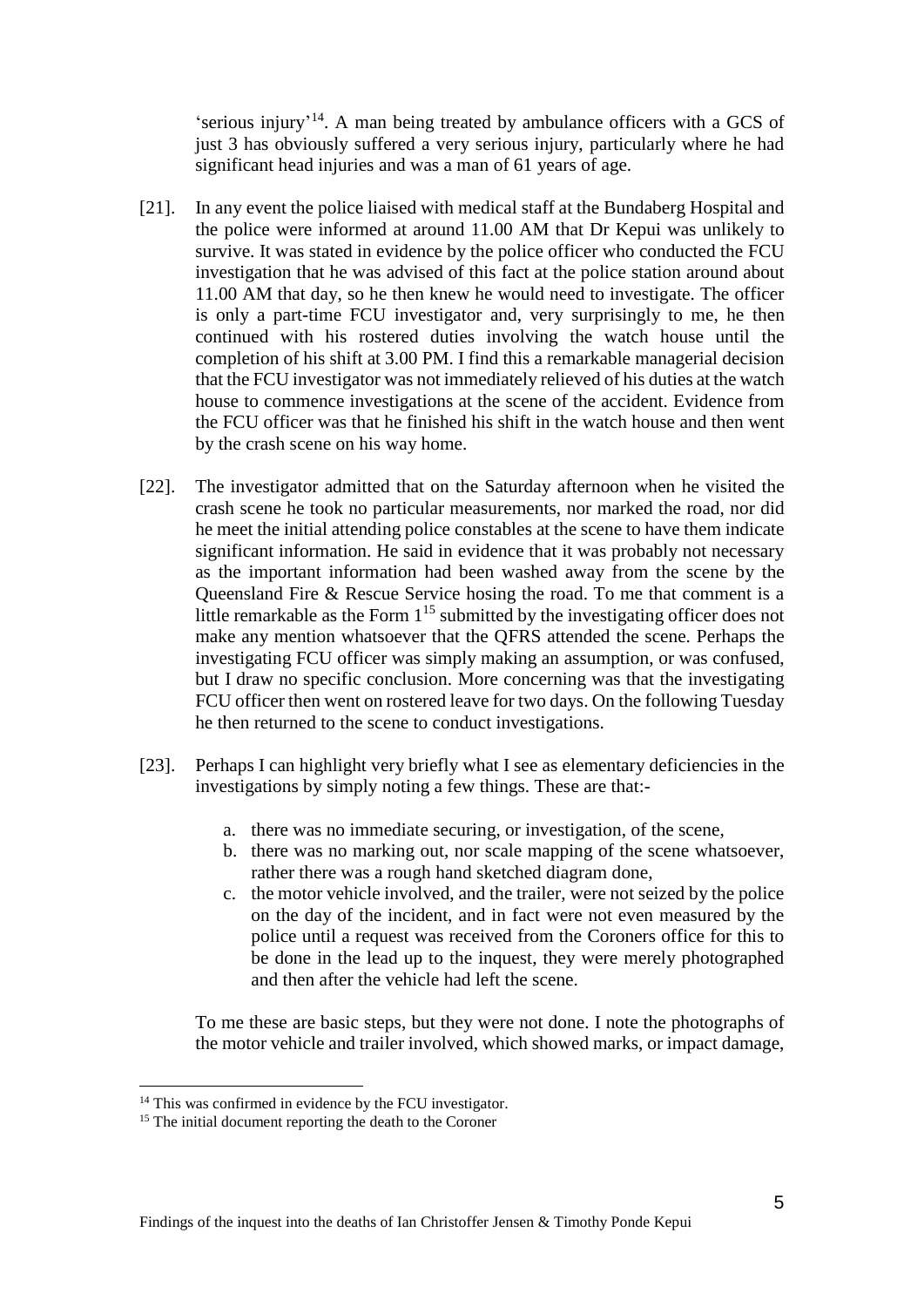'serious injury'<sup>14</sup>. A man being treated by ambulance officers with a GCS of just 3 has obviously suffered a very serious injury, particularly where he had significant head injuries and was a man of 61 years of age.

- [21]. In any event the police liaised with medical staff at the Bundaberg Hospital and the police were informed at around 11.00 AM that Dr Kepui was unlikely to survive. It was stated in evidence by the police officer who conducted the FCU investigation that he was advised of this fact at the police station around about 11.00 AM that day, so he then knew he would need to investigate. The officer is only a part-time FCU investigator and, very surprisingly to me, he then continued with his rostered duties involving the watch house until the completion of his shift at 3.00 PM. I find this a remarkable managerial decision that the FCU investigator was not immediately relieved of his duties at the watch house to commence investigations at the scene of the accident. Evidence from the FCU officer was that he finished his shift in the watch house and then went by the crash scene on his way home.
- [22]. The investigator admitted that on the Saturday afternoon when he visited the crash scene he took no particular measurements, nor marked the road, nor did he meet the initial attending police constables at the scene to have them indicate significant information. He said in evidence that it was probably not necessary as the important information had been washed away from the scene by the Queensland Fire & Rescue Service hosing the road. To me that comment is a little remarkable as the Form  $1^{15}$  submitted by the investigating officer does not make any mention whatsoever that the QFRS attended the scene. Perhaps the investigating FCU officer was simply making an assumption, or was confused, but I draw no specific conclusion. More concerning was that the investigating FCU officer then went on rostered leave for two days. On the following Tuesday he then returned to the scene to conduct investigations.
- [23]. Perhaps I can highlight very briefly what I see as elementary deficiencies in the investigations by simply noting a few things. These are that:
	- a. there was no immediate securing, or investigation, of the scene,
	- b. there was no marking out, nor scale mapping of the scene whatsoever, rather there was a rough hand sketched diagram done,
	- c. the motor vehicle involved, and the trailer, were not seized by the police on the day of the incident, and in fact were not even measured by the police until a request was received from the Coroners office for this to be done in the lead up to the inquest, they were merely photographed and then after the vehicle had left the scene.

To me these are basic steps, but they were not done. I note the photographs of the motor vehicle and trailer involved, which showed marks, or impact damage,

<sup>&</sup>lt;sup>14</sup> This was confirmed in evidence by the FCU investigator.

<sup>&</sup>lt;sup>15</sup> The initial document reporting the death to the Coroner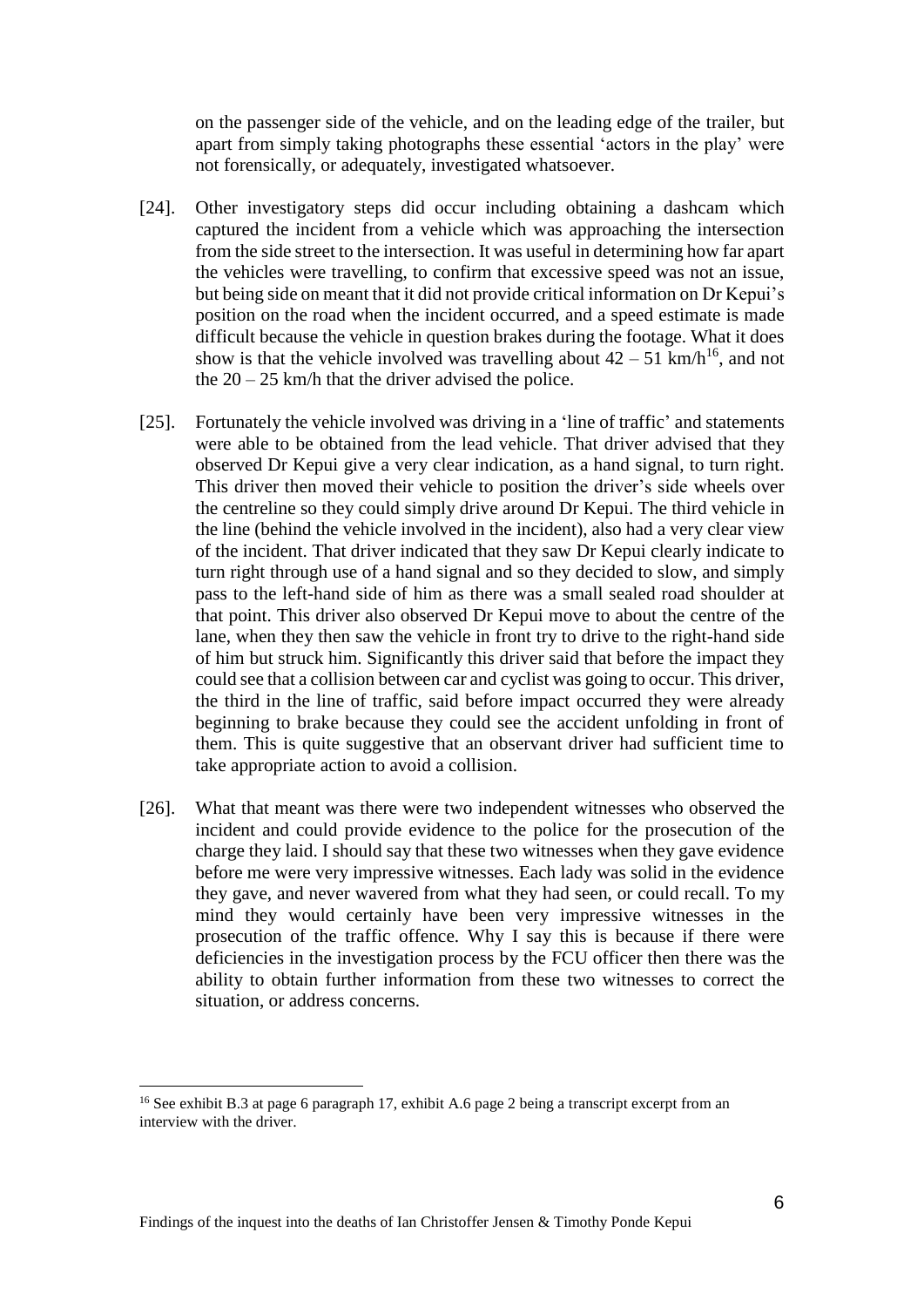on the passenger side of the vehicle, and on the leading edge of the trailer, but apart from simply taking photographs these essential 'actors in the play' were not forensically, or adequately, investigated whatsoever.

- [24]. Other investigatory steps did occur including obtaining a dashcam which captured the incident from a vehicle which was approaching the intersection from the side street to the intersection. It was useful in determining how far apart the vehicles were travelling, to confirm that excessive speed was not an issue, but being side on meant that it did not provide critical information on Dr Kepui's position on the road when the incident occurred, and a speed estimate is made difficult because the vehicle in question brakes during the footage. What it does show is that the vehicle involved was travelling about  $42 - 51$  km/h<sup>16</sup>, and not the  $20 - 25$  km/h that the driver advised the police.
- [25]. Fortunately the vehicle involved was driving in a 'line of traffic' and statements were able to be obtained from the lead vehicle. That driver advised that they observed Dr Kepui give a very clear indication, as a hand signal, to turn right. This driver then moved their vehicle to position the driver's side wheels over the centreline so they could simply drive around Dr Kepui. The third vehicle in the line (behind the vehicle involved in the incident), also had a very clear view of the incident. That driver indicated that they saw Dr Kepui clearly indicate to turn right through use of a hand signal and so they decided to slow, and simply pass to the left-hand side of him as there was a small sealed road shoulder at that point. This driver also observed Dr Kepui move to about the centre of the lane, when they then saw the vehicle in front try to drive to the right-hand side of him but struck him. Significantly this driver said that before the impact they could see that a collision between car and cyclist was going to occur. This driver, the third in the line of traffic, said before impact occurred they were already beginning to brake because they could see the accident unfolding in front of them. This is quite suggestive that an observant driver had sufficient time to take appropriate action to avoid a collision.
- [26]. What that meant was there were two independent witnesses who observed the incident and could provide evidence to the police for the prosecution of the charge they laid. I should say that these two witnesses when they gave evidence before me were very impressive witnesses. Each lady was solid in the evidence they gave, and never wavered from what they had seen, or could recall. To my mind they would certainly have been very impressive witnesses in the prosecution of the traffic offence. Why I say this is because if there were deficiencies in the investigation process by the FCU officer then there was the ability to obtain further information from these two witnesses to correct the situation, or address concerns.

<sup>&</sup>lt;sup>16</sup> See exhibit B.3 at page 6 paragraph 17, exhibit A.6 page 2 being a transcript excerpt from an interview with the driver.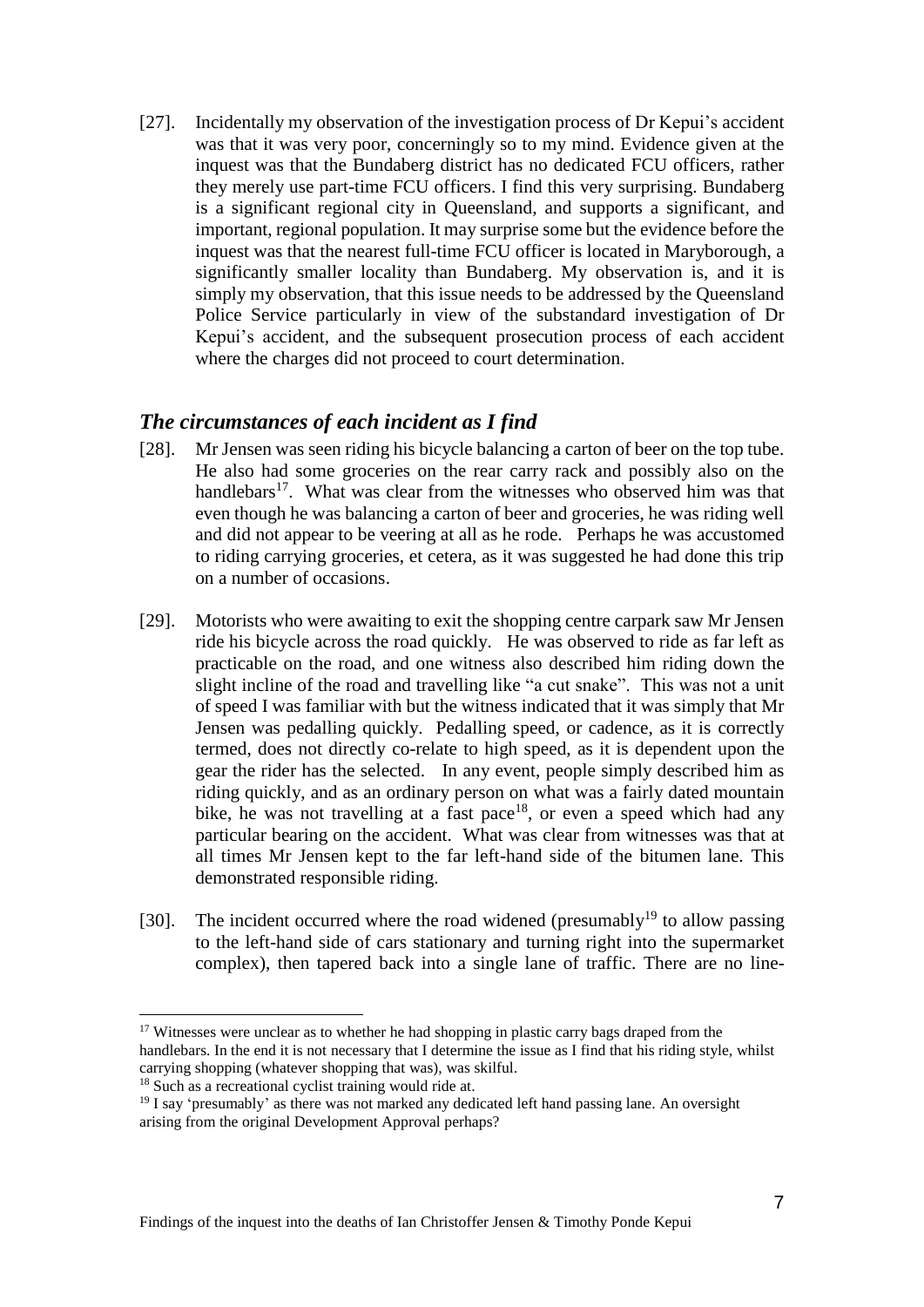[27]. Incidentally my observation of the investigation process of Dr Kepui's accident was that it was very poor, concerningly so to my mind. Evidence given at the inquest was that the Bundaberg district has no dedicated FCU officers, rather they merely use part-time FCU officers. I find this very surprising. Bundaberg is a significant regional city in Queensland, and supports a significant, and important, regional population. It may surprise some but the evidence before the inquest was that the nearest full-time FCU officer is located in Maryborough, a significantly smaller locality than Bundaberg. My observation is, and it is simply my observation, that this issue needs to be addressed by the Queensland Police Service particularly in view of the substandard investigation of Dr Kepui's accident, and the subsequent prosecution process of each accident where the charges did not proceed to court determination.

## *The circumstances of each incident as I find*

- [28]. Mr Jensen was seen riding his bicycle balancing a carton of beer on the top tube. He also had some groceries on the rear carry rack and possibly also on the handlebars<sup>17</sup>. What was clear from the witnesses who observed him was that even though he was balancing a carton of beer and groceries, he was riding well and did not appear to be veering at all as he rode. Perhaps he was accustomed to riding carrying groceries, et cetera, as it was suggested he had done this trip on a number of occasions.
- [29]. Motorists who were awaiting to exit the shopping centre carpark saw Mr Jensen ride his bicycle across the road quickly. He was observed to ride as far left as practicable on the road, and one witness also described him riding down the slight incline of the road and travelling like "a cut snake". This was not a unit of speed I was familiar with but the witness indicated that it was simply that Mr Jensen was pedalling quickly. Pedalling speed, or cadence, as it is correctly termed, does not directly co-relate to high speed, as it is dependent upon the gear the rider has the selected. In any event, people simply described him as riding quickly, and as an ordinary person on what was a fairly dated mountain bike, he was not travelling at a fast pace<sup>18</sup>, or even a speed which had any particular bearing on the accident. What was clear from witnesses was that at all times Mr Jensen kept to the far left-hand side of the bitumen lane. This demonstrated responsible riding.
- [30]. The incident occurred where the road widened (presumably<sup>19</sup> to allow passing to the left-hand side of cars stationary and turning right into the supermarket complex), then tapered back into a single lane of traffic. There are no line-

<sup>&</sup>lt;sup>17</sup> Witnesses were unclear as to whether he had shopping in plastic carry bags draped from the handlebars. In the end it is not necessary that I determine the issue as I find that his riding style, whilst carrying shopping (whatever shopping that was), was skilful.

<sup>&</sup>lt;sup>18</sup> Such as a recreational cyclist training would ride at.

 $19$  I say 'presumably' as there was not marked any dedicated left hand passing lane. An oversight arising from the original Development Approval perhaps?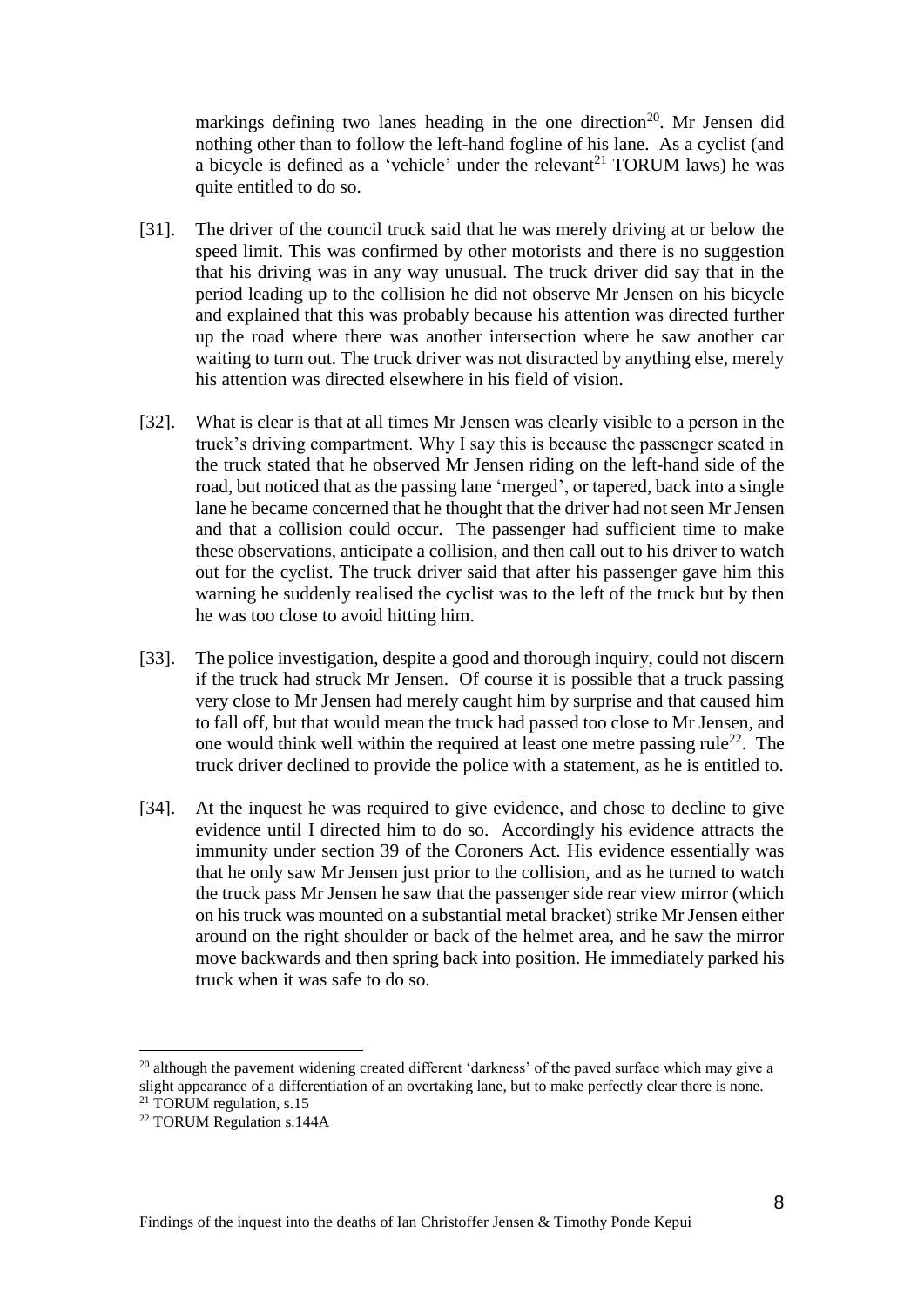markings defining two lanes heading in the one direction<sup>20</sup>. Mr Jensen did nothing other than to follow the left-hand fogline of his lane. As a cyclist (and a bicycle is defined as a 'vehicle' under the relevant<sup>21</sup> TORUM laws) he was quite entitled to do so.

- [31]. The driver of the council truck said that he was merely driving at or below the speed limit. This was confirmed by other motorists and there is no suggestion that his driving was in any way unusual. The truck driver did say that in the period leading up to the collision he did not observe Mr Jensen on his bicycle and explained that this was probably because his attention was directed further up the road where there was another intersection where he saw another car waiting to turn out. The truck driver was not distracted by anything else, merely his attention was directed elsewhere in his field of vision.
- [32]. What is clear is that at all times Mr Jensen was clearly visible to a person in the truck's driving compartment. Why I say this is because the passenger seated in the truck stated that he observed Mr Jensen riding on the left-hand side of the road, but noticed that as the passing lane 'merged', or tapered, back into a single lane he became concerned that he thought that the driver had not seen Mr Jensen and that a collision could occur. The passenger had sufficient time to make these observations, anticipate a collision, and then call out to his driver to watch out for the cyclist. The truck driver said that after his passenger gave him this warning he suddenly realised the cyclist was to the left of the truck but by then he was too close to avoid hitting him.
- [33]. The police investigation, despite a good and thorough inquiry, could not discern if the truck had struck Mr Jensen. Of course it is possible that a truck passing very close to Mr Jensen had merely caught him by surprise and that caused him to fall off, but that would mean the truck had passed too close to Mr Jensen, and one would think well within the required at least one metre passing rule<sup>22</sup>. The truck driver declined to provide the police with a statement, as he is entitled to.
- [34]. At the inquest he was required to give evidence, and chose to decline to give evidence until I directed him to do so. Accordingly his evidence attracts the immunity under section 39 of the Coroners Act. His evidence essentially was that he only saw Mr Jensen just prior to the collision, and as he turned to watch the truck pass Mr Jensen he saw that the passenger side rear view mirror (which on his truck was mounted on a substantial metal bracket) strike Mr Jensen either around on the right shoulder or back of the helmet area, and he saw the mirror move backwards and then spring back into position. He immediately parked his truck when it was safe to do so.

 $^{20}$  although the pavement widening created different 'darkness' of the paved surface which may give a slight appearance of a differentiation of an overtaking lane, but to make perfectly clear there is none. <sup>21</sup> TORUM regulation, s.15

<sup>22</sup> TORUM Regulation s.144A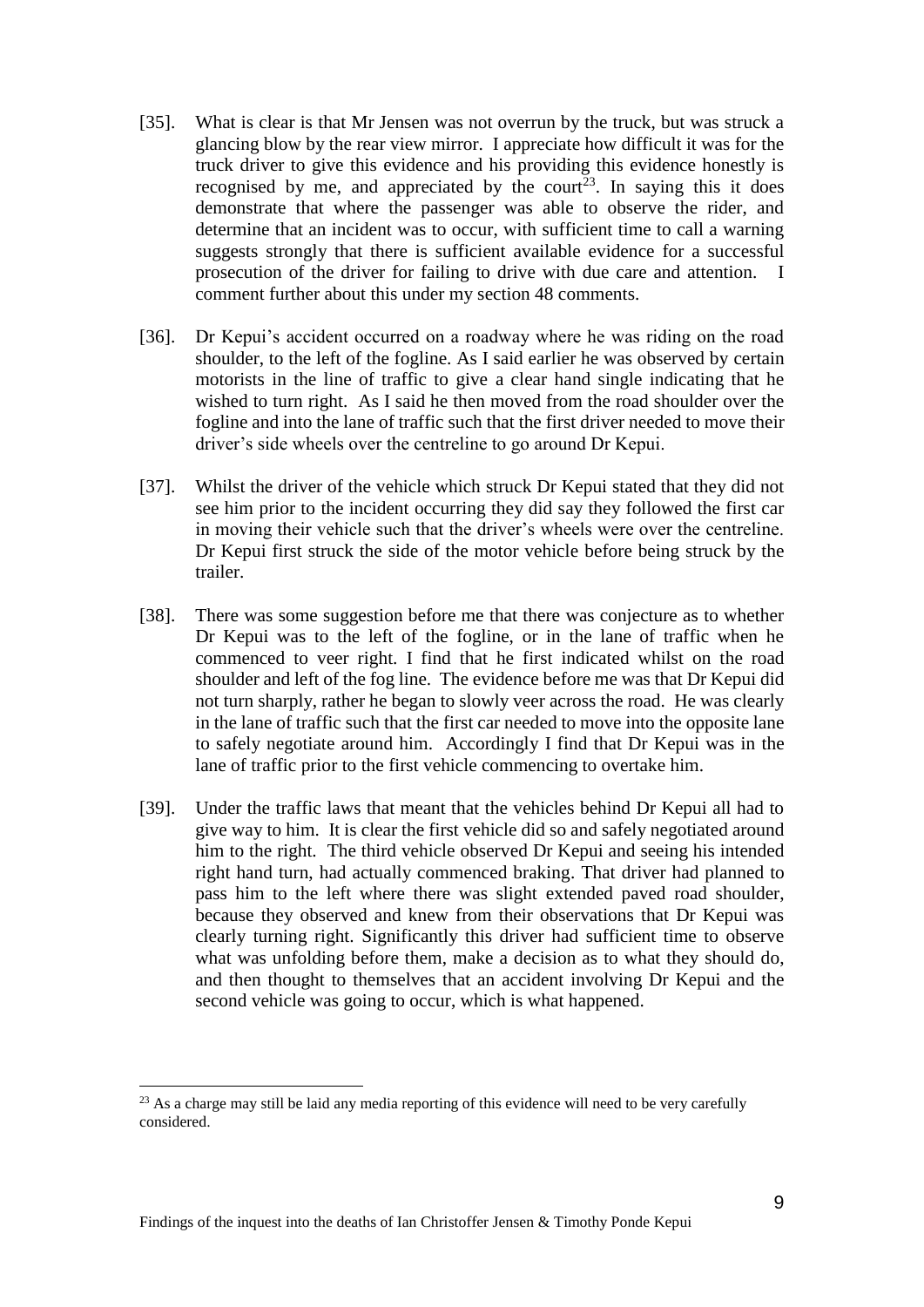- [35]. What is clear is that Mr Jensen was not overrun by the truck, but was struck a glancing blow by the rear view mirror. I appreciate how difficult it was for the truck driver to give this evidence and his providing this evidence honestly is recognised by me, and appreciated by the court<sup>23</sup>. In saying this it does demonstrate that where the passenger was able to observe the rider, and determine that an incident was to occur, with sufficient time to call a warning suggests strongly that there is sufficient available evidence for a successful prosecution of the driver for failing to drive with due care and attention. I comment further about this under my section 48 comments.
- [36]. Dr Kepui's accident occurred on a roadway where he was riding on the road shoulder, to the left of the fogline. As I said earlier he was observed by certain motorists in the line of traffic to give a clear hand single indicating that he wished to turn right. As I said he then moved from the road shoulder over the fogline and into the lane of traffic such that the first driver needed to move their driver's side wheels over the centreline to go around Dr Kepui.
- [37]. Whilst the driver of the vehicle which struck Dr Kepui stated that they did not see him prior to the incident occurring they did say they followed the first car in moving their vehicle such that the driver's wheels were over the centreline. Dr Kepui first struck the side of the motor vehicle before being struck by the trailer.
- [38]. There was some suggestion before me that there was conjecture as to whether Dr Kepui was to the left of the fogline, or in the lane of traffic when he commenced to veer right. I find that he first indicated whilst on the road shoulder and left of the fog line. The evidence before me was that Dr Kepui did not turn sharply, rather he began to slowly veer across the road. He was clearly in the lane of traffic such that the first car needed to move into the opposite lane to safely negotiate around him. Accordingly I find that Dr Kepui was in the lane of traffic prior to the first vehicle commencing to overtake him.
- [39]. Under the traffic laws that meant that the vehicles behind Dr Kepui all had to give way to him. It is clear the first vehicle did so and safely negotiated around him to the right. The third vehicle observed Dr Kepui and seeing his intended right hand turn, had actually commenced braking. That driver had planned to pass him to the left where there was slight extended paved road shoulder, because they observed and knew from their observations that Dr Kepui was clearly turning right. Significantly this driver had sufficient time to observe what was unfolding before them, make a decision as to what they should do, and then thought to themselves that an accident involving Dr Kepui and the second vehicle was going to occur, which is what happened.

<sup>&</sup>lt;sup>23</sup> As a charge may still be laid any media reporting of this evidence will need to be very carefully considered.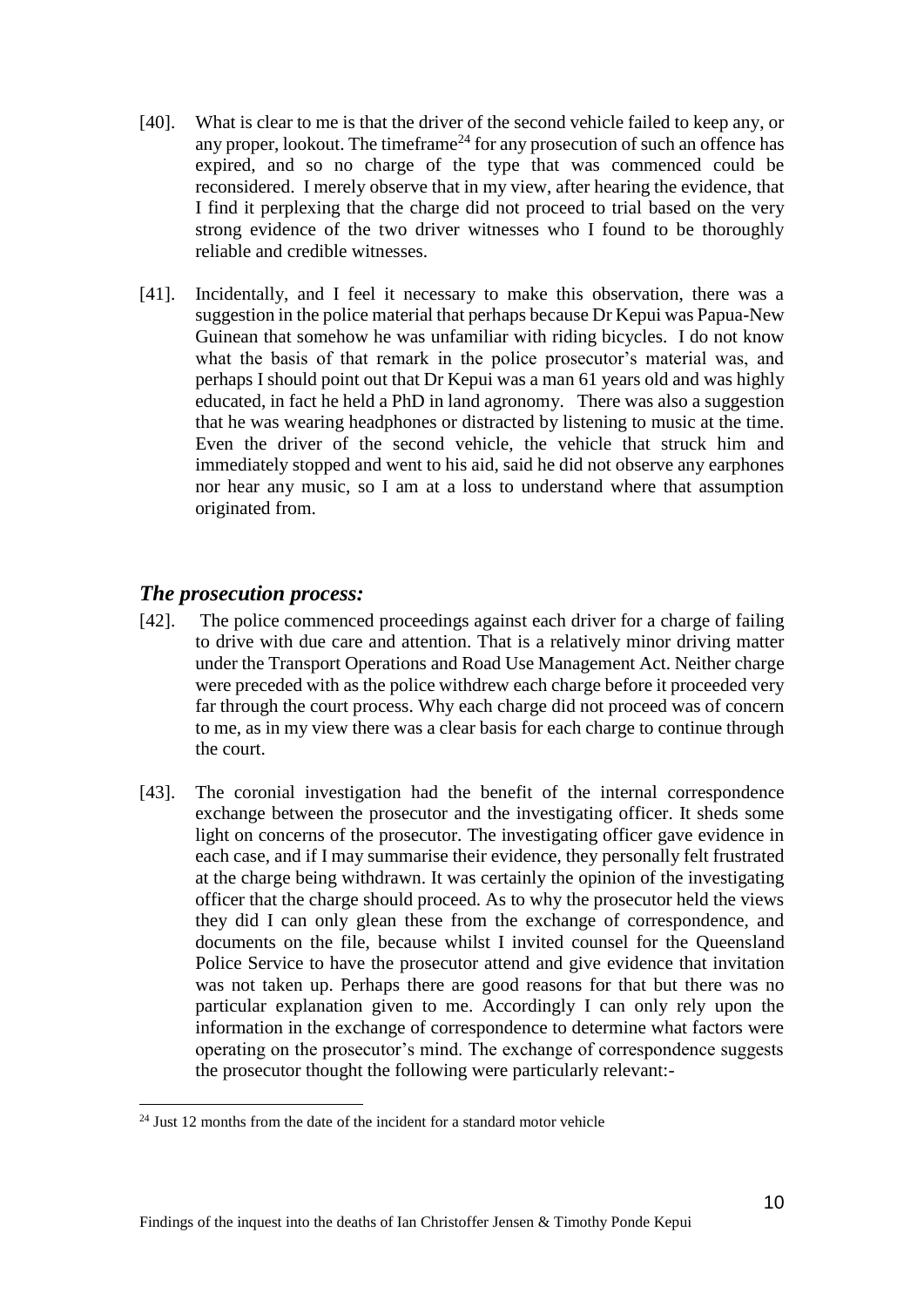- [40]. What is clear to me is that the driver of the second vehicle failed to keep any, or any proper, lookout. The timeframe<sup>24</sup> for any prosecution of such an offence has expired, and so no charge of the type that was commenced could be reconsidered. I merely observe that in my view, after hearing the evidence, that I find it perplexing that the charge did not proceed to trial based on the very strong evidence of the two driver witnesses who I found to be thoroughly reliable and credible witnesses.
- [41]. Incidentally, and I feel it necessary to make this observation, there was a suggestion in the police material that perhaps because Dr Kepui was Papua-New Guinean that somehow he was unfamiliar with riding bicycles. I do not know what the basis of that remark in the police prosecutor's material was, and perhaps I should point out that Dr Kepui was a man 61 years old and was highly educated, in fact he held a PhD in land agronomy. There was also a suggestion that he was wearing headphones or distracted by listening to music at the time. Even the driver of the second vehicle, the vehicle that struck him and immediately stopped and went to his aid, said he did not observe any earphones nor hear any music, so I am at a loss to understand where that assumption originated from.

## *The prosecution process:*

 $\overline{a}$ 

- [42]. The police commenced proceedings against each driver for a charge of failing to drive with due care and attention. That is a relatively minor driving matter under the Transport Operations and Road Use Management Act. Neither charge were preceded with as the police withdrew each charge before it proceeded very far through the court process. Why each charge did not proceed was of concern to me, as in my view there was a clear basis for each charge to continue through the court.
- [43]. The coronial investigation had the benefit of the internal correspondence exchange between the prosecutor and the investigating officer. It sheds some light on concerns of the prosecutor. The investigating officer gave evidence in each case, and if I may summarise their evidence, they personally felt frustrated at the charge being withdrawn. It was certainly the opinion of the investigating officer that the charge should proceed. As to why the prosecutor held the views they did I can only glean these from the exchange of correspondence, and documents on the file, because whilst I invited counsel for the Queensland Police Service to have the prosecutor attend and give evidence that invitation was not taken up. Perhaps there are good reasons for that but there was no particular explanation given to me. Accordingly I can only rely upon the information in the exchange of correspondence to determine what factors were operating on the prosecutor's mind. The exchange of correspondence suggests the prosecutor thought the following were particularly relevant:-

 $24$  Just 12 months from the date of the incident for a standard motor vehicle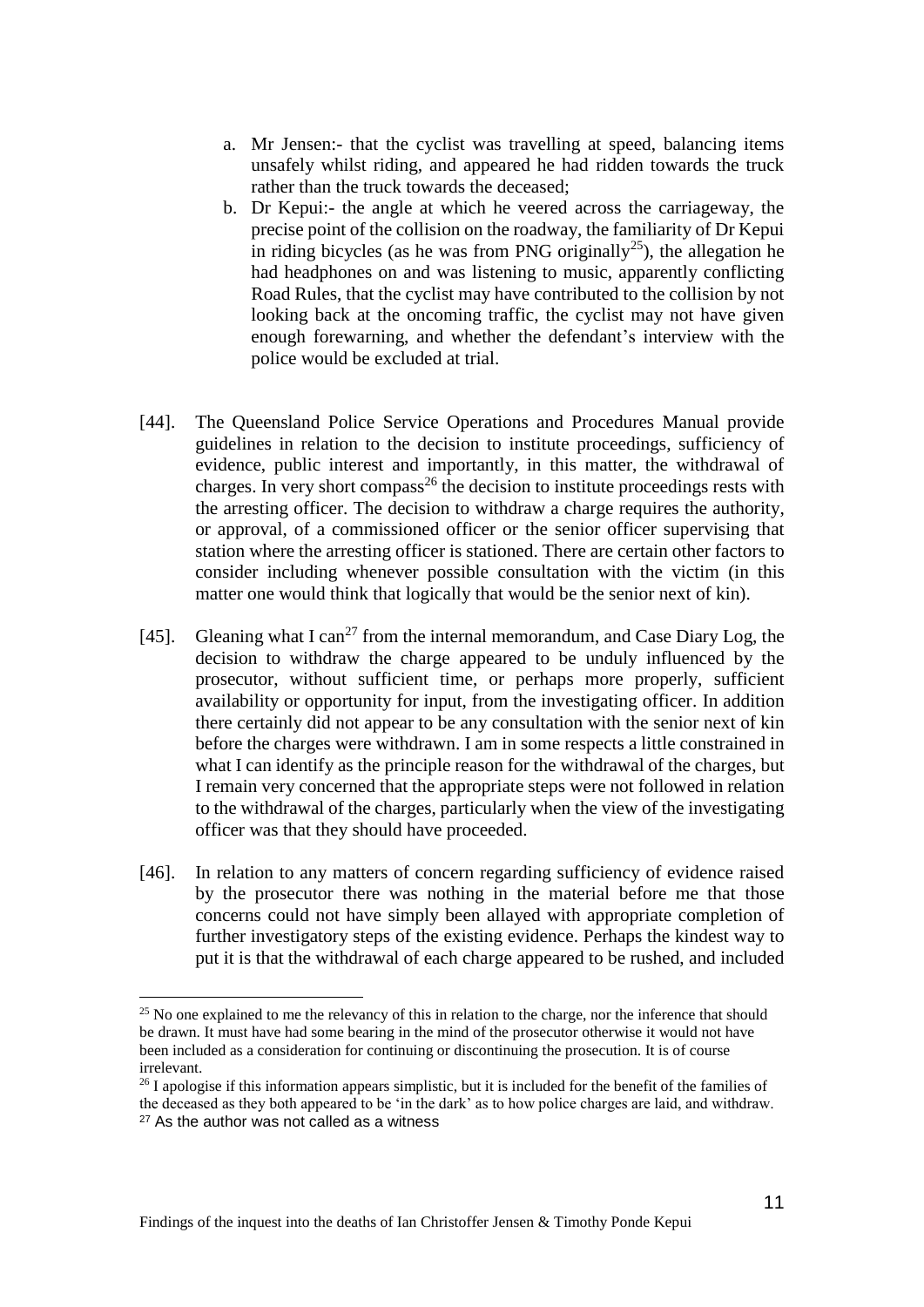- a. Mr Jensen:- that the cyclist was travelling at speed, balancing items unsafely whilst riding, and appeared he had ridden towards the truck rather than the truck towards the deceased;
- b. Dr Kepui:- the angle at which he veered across the carriageway, the precise point of the collision on the roadway, the familiarity of Dr Kepui in riding bicycles (as he was from PNG originally<sup>25</sup>), the allegation he had headphones on and was listening to music, apparently conflicting Road Rules, that the cyclist may have contributed to the collision by not looking back at the oncoming traffic, the cyclist may not have given enough forewarning, and whether the defendant's interview with the police would be excluded at trial.
- [44]. The Queensland Police Service Operations and Procedures Manual provide guidelines in relation to the decision to institute proceedings, sufficiency of evidence, public interest and importantly, in this matter, the withdrawal of charges. In very short compass<sup>26</sup> the decision to institute proceedings rests with the arresting officer. The decision to withdraw a charge requires the authority, or approval, of a commissioned officer or the senior officer supervising that station where the arresting officer is stationed. There are certain other factors to consider including whenever possible consultation with the victim (in this matter one would think that logically that would be the senior next of kin).
- [45]. Gleaning what I can<sup>27</sup> from the internal memorandum, and Case Diary Log, the decision to withdraw the charge appeared to be unduly influenced by the prosecutor, without sufficient time, or perhaps more properly, sufficient availability or opportunity for input, from the investigating officer. In addition there certainly did not appear to be any consultation with the senior next of kin before the charges were withdrawn. I am in some respects a little constrained in what I can identify as the principle reason for the withdrawal of the charges, but I remain very concerned that the appropriate steps were not followed in relation to the withdrawal of the charges, particularly when the view of the investigating officer was that they should have proceeded.
- [46]. In relation to any matters of concern regarding sufficiency of evidence raised by the prosecutor there was nothing in the material before me that those concerns could not have simply been allayed with appropriate completion of further investigatory steps of the existing evidence. Perhaps the kindest way to put it is that the withdrawal of each charge appeared to be rushed, and included

 $\overline{a}$ 

 $25$  No one explained to me the relevancy of this in relation to the charge, nor the inference that should be drawn. It must have had some bearing in the mind of the prosecutor otherwise it would not have been included as a consideration for continuing or discontinuing the prosecution. It is of course irrelevant.

 $^{26}$  I apologise if this information appears simplistic, but it is included for the benefit of the families of the deceased as they both appeared to be 'in the dark' as to how police charges are laid, and withdraw. <sup>27</sup> As the author was not called as a witness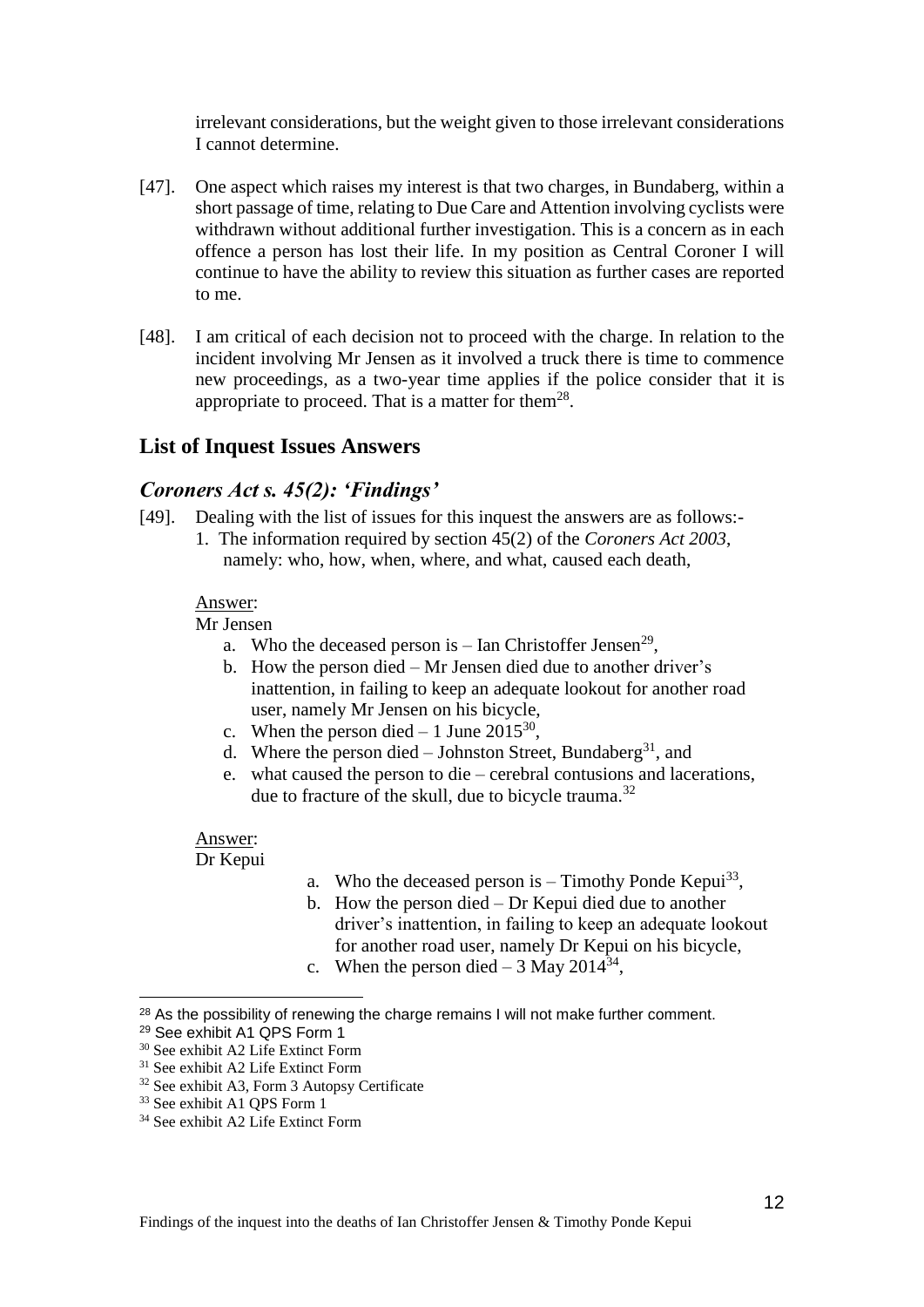irrelevant considerations, but the weight given to those irrelevant considerations I cannot determine.

- [47]. One aspect which raises my interest is that two charges, in Bundaberg, within a short passage of time, relating to Due Care and Attention involving cyclists were withdrawn without additional further investigation. This is a concern as in each offence a person has lost their life. In my position as Central Coroner I will continue to have the ability to review this situation as further cases are reported to me.
- [48]. I am critical of each decision not to proceed with the charge. In relation to the incident involving Mr Jensen as it involved a truck there is time to commence new proceedings, as a two-year time applies if the police consider that it is appropriate to proceed. That is a matter for them<sup>28</sup>.

## **List of Inquest Issues Answers**

#### *Coroners Act s. 45(2): 'Findings'*

[49]. Dealing with the list of issues for this inquest the answers are as follows:- 1. The information required by section 45(2) of the *Coroners Act 2003*, namely: who, how, when, where, and what, caused each death,

#### Answer:

#### Mr Jensen

- a. Who the deceased person is  $-$  Ian Christoffer Jensen<sup>29</sup>,
- b. How the person died Mr Jensen died due to another driver's inattention, in failing to keep an adequate lookout for another road user, namely Mr Jensen on his bicycle,
- c. When the person died  $-1$  June 2015<sup>30</sup>,
- d. Where the person died  $-$  Johnston Street, Bundaberg<sup>31</sup>, and
- e. what caused the person to die cerebral contusions and lacerations, due to fracture of the skull, due to bicycle trauma.<sup>32</sup>

#### Answer:

#### Dr Kepui

- a. Who the deceased person is  $-$  Timothy Ponde Kepui<sup>33</sup>,
- b. How the person died Dr Kepui died due to another driver's inattention, in failing to keep an adequate lookout for another road user, namely Dr Kepui on his bicycle,
- c. When the person died  $-3$  May 2014<sup>34</sup>,

 $\overline{a}$ 

<sup>&</sup>lt;sup>28</sup> As the possibility of renewing the charge remains I will not make further comment.

<sup>29</sup> See exhibit A1 QPS Form 1

<sup>30</sup> See exhibit A2 Life Extinct Form

<sup>&</sup>lt;sup>31</sup> See exhibit A2 Life Extinct Form

<sup>32</sup> See exhibit A3, Form 3 Autopsy Certificate

<sup>33</sup> See exhibit A1 QPS Form 1

<sup>34</sup> See exhibit A2 Life Extinct Form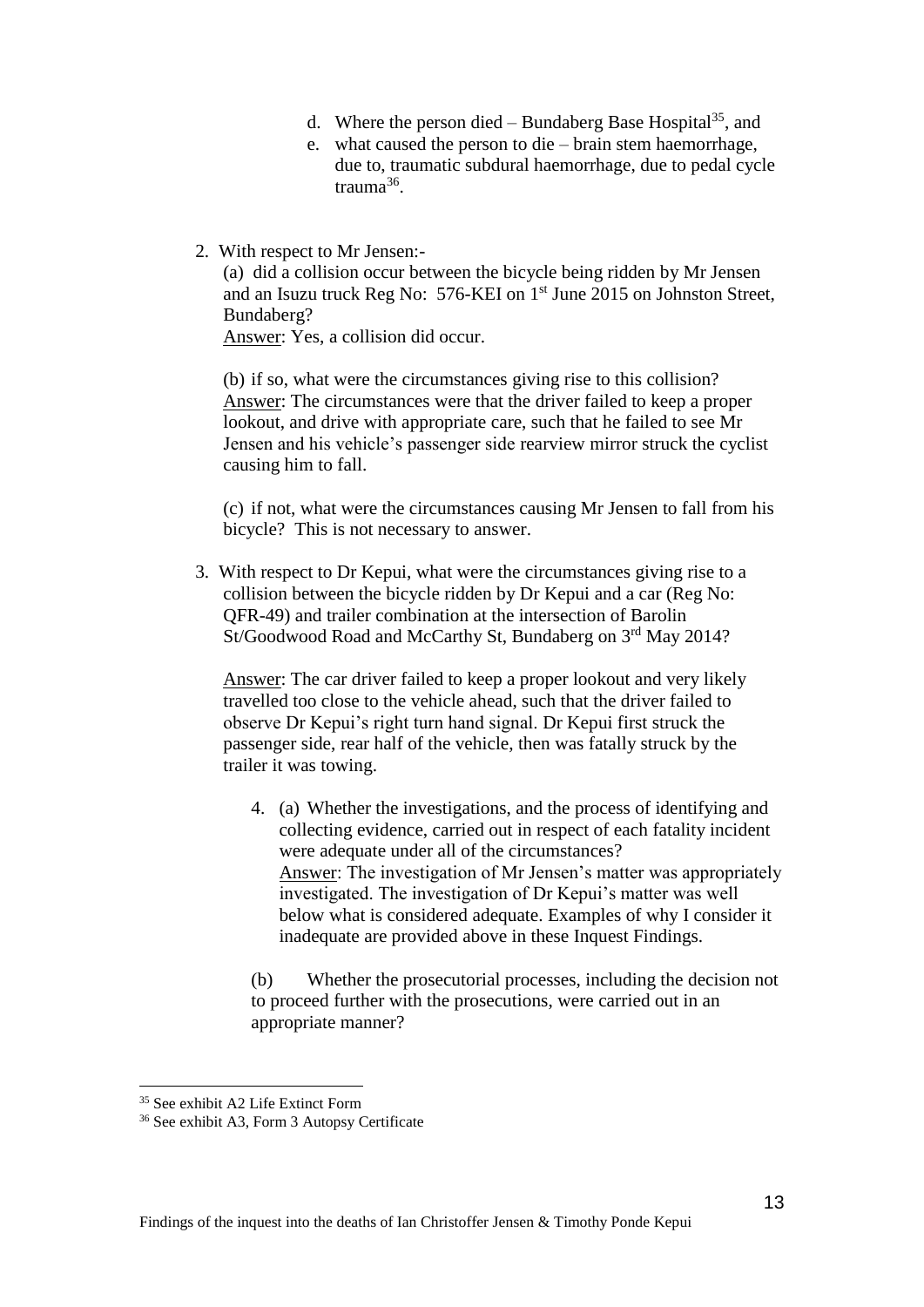- d. Where the person died Bundaberg Base Hospital<sup>35</sup>, and
- e. what caused the person to die brain stem haemorrhage, due to, traumatic subdural haemorrhage, due to pedal cycle trauma<sup>36</sup>.
- 2. With respect to Mr Jensen:-

(a) did a collision occur between the bicycle being ridden by Mr Jensen and an Isuzu truck Reg No: 576-KEI on 1<sup>st</sup> June 2015 on Johnston Street, Bundaberg?

Answer: Yes, a collision did occur.

(b) if so, what were the circumstances giving rise to this collision? Answer: The circumstances were that the driver failed to keep a proper lookout, and drive with appropriate care, such that he failed to see Mr Jensen and his vehicle's passenger side rearview mirror struck the cyclist causing him to fall.

(c) if not, what were the circumstances causing Mr Jensen to fall from his bicycle? This is not necessary to answer.

3. With respect to Dr Kepui, what were the circumstances giving rise to a collision between the bicycle ridden by Dr Kepui and a car (Reg No: QFR-49) and trailer combination at the intersection of Barolin St/Goodwood Road and McCarthy St, Bundaberg on 3<sup>rd</sup> May 2014?

Answer: The car driver failed to keep a proper lookout and very likely travelled too close to the vehicle ahead, such that the driver failed to observe Dr Kepui's right turn hand signal. Dr Kepui first struck the passenger side, rear half of the vehicle, then was fatally struck by the trailer it was towing.

4. (a) Whether the investigations, and the process of identifying and collecting evidence, carried out in respect of each fatality incident were adequate under all of the circumstances? Answer: The investigation of Mr Jensen's matter was appropriately investigated. The investigation of Dr Kepui's matter was well below what is considered adequate. Examples of why I consider it inadequate are provided above in these Inquest Findings.

(b) Whether the prosecutorial processes, including the decision not to proceed further with the prosecutions, were carried out in an appropriate manner?

<sup>35</sup> See exhibit A2 Life Extinct Form

<sup>36</sup> See exhibit A3, Form 3 Autopsy Certificate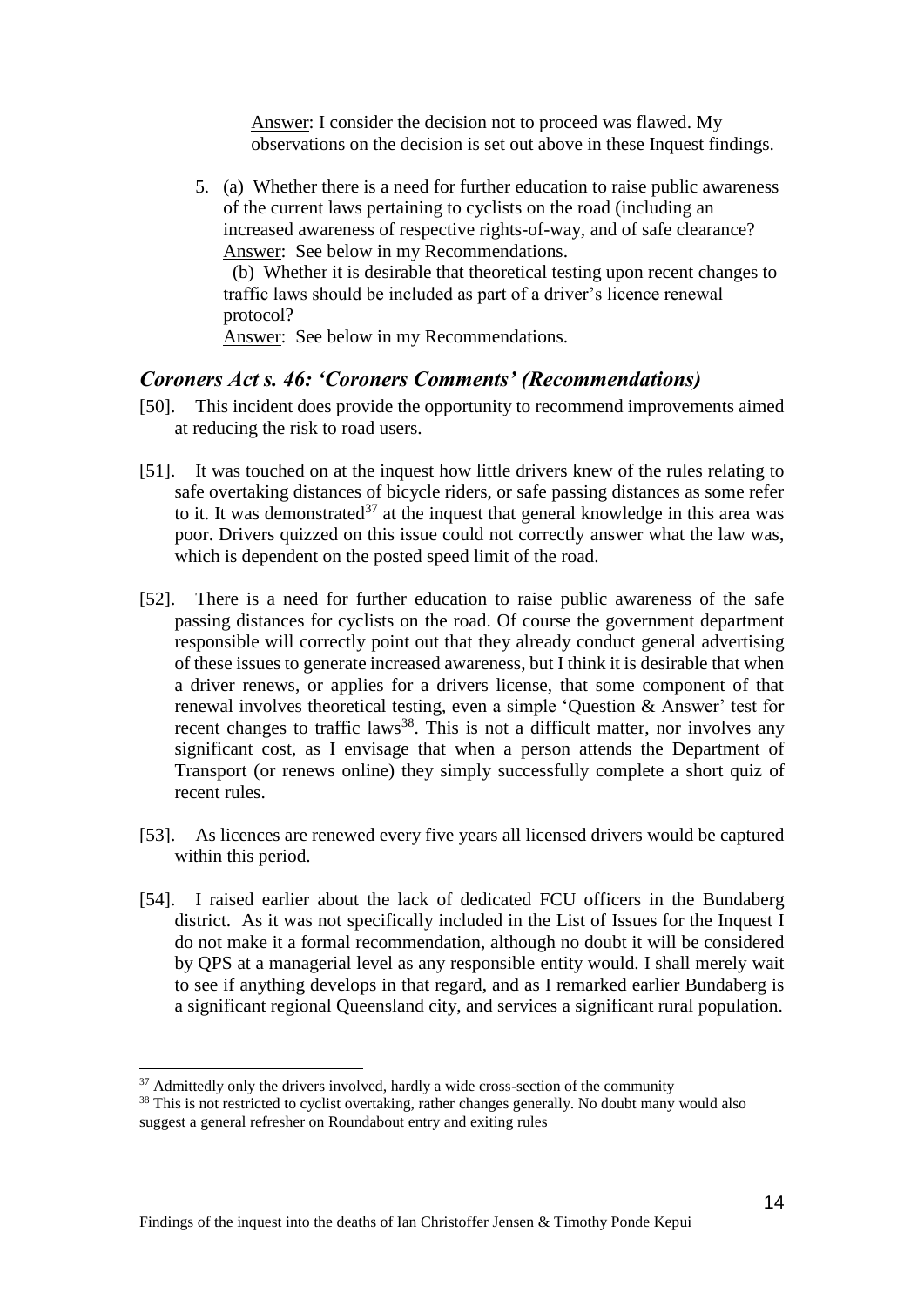Answer: I consider the decision not to proceed was flawed. My observations on the decision is set out above in these Inquest findings.

5. (a) Whether there is a need for further education to raise public awareness of the current laws pertaining to cyclists on the road (including an increased awareness of respective rights-of-way, and of safe clearance? Answer: See below in my Recommendations.

 (b) Whether it is desirable that theoretical testing upon recent changes to traffic laws should be included as part of a driver's licence renewal protocol?

Answer: See below in my Recommendations.

#### *Coroners Act s. 46: 'Coroners Comments' (Recommendations)*

- [50]. This incident does provide the opportunity to recommend improvements aimed at reducing the risk to road users.
- [51]. It was touched on at the inquest how little drivers knew of the rules relating to safe overtaking distances of bicycle riders, or safe passing distances as some refer to it. It was demonstrated<sup>37</sup> at the inquest that general knowledge in this area was poor. Drivers quizzed on this issue could not correctly answer what the law was, which is dependent on the posted speed limit of the road.
- [52]. There is a need for further education to raise public awareness of the safe passing distances for cyclists on the road. Of course the government department responsible will correctly point out that they already conduct general advertising of these issues to generate increased awareness, but I think it is desirable that when a driver renews, or applies for a drivers license, that some component of that renewal involves theoretical testing, even a simple 'Question & Answer' test for recent changes to traffic laws<sup>38</sup>. This is not a difficult matter, nor involves any significant cost, as I envisage that when a person attends the Department of Transport (or renews online) they simply successfully complete a short quiz of recent rules.
- [53]. As licences are renewed every five years all licensed drivers would be captured within this period.
- [54]. I raised earlier about the lack of dedicated FCU officers in the Bundaberg district. As it was not specifically included in the List of Issues for the Inquest I do not make it a formal recommendation, although no doubt it will be considered by QPS at a managerial level as any responsible entity would. I shall merely wait to see if anything develops in that regard, and as I remarked earlier Bundaberg is a significant regional Queensland city, and services a significant rural population.

<sup>&</sup>lt;sup>37</sup> Admittedly only the drivers involved, hardly a wide cross-section of the community

<sup>&</sup>lt;sup>38</sup> This is not restricted to cyclist overtaking, rather changes generally. No doubt many would also suggest a general refresher on Roundabout entry and exiting rules